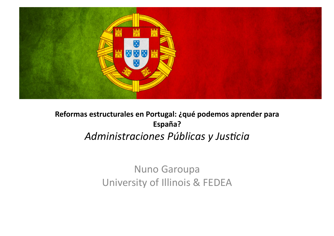

# Reformas estructurales en Portugal: ¿qué podemos aprender para **España?** *Administraciones-Públicas-y-Jus5cia*

Nuno!Garoupa! University of Illinois & FEDEA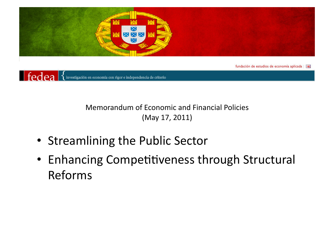



- Streamlining the Public Sector
- Enhancing Competitiveness through Structural Reforms!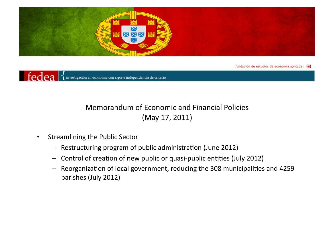



- Streamlining the Public Sector
	- Restructuring program of public administration (June 2012)
	- Control of creation of new public or quasi-public entities (July 2012)
	- Reorganization of local government, reducing the 308 municipalities and 4259 parishes (July 2012)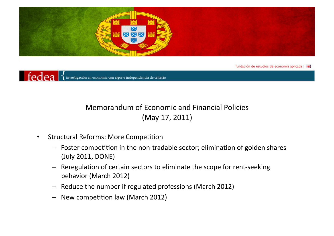



- Structural Reforms: More Competition
	- $-$  Foster competition in the non-tradable sector; elimination of golden shares (July 2011, DONE)
	- Reregulation of certain sectors to eliminate the scope for rent-seeking behavior (March 2012)
	- Reduce the number if regulated professions (March 2012)
	- $-$  New competition law (March 2012)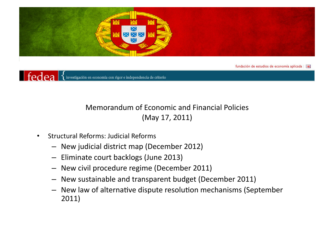



- Structural Reforms: Judicial Reforms
	- New judicial district map (December 2012)
	- Eliminate court backlogs (June 2013)
	- New civil procedure regime (December 2011)
	- New sustainable and transparent budget (December 2011)
	- New law of alternative dispute resolution mechanisms (September 2011)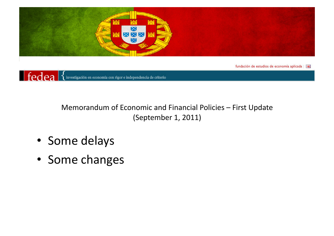



Memorandum of Economic and Financial Policies – First Update (September 1, 2011)

- Some delays
- Some changes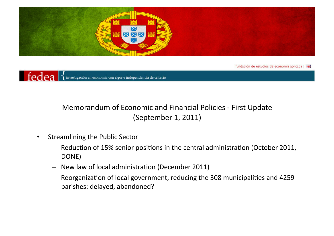



## Memorandum of Economic and Financial Policies - First Update (September 1, 2011)

- Streamlining the Public Sector
	- Reduction of 15% senior positions in the central administration (October 2011, DONE)
	- $-$  New law of local administration (December 2011)
	- Reorganization of local government, reducing the 308 municipalities and 4259 parishes: delayed, abandoned?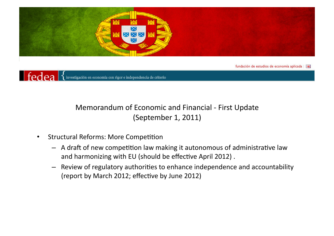



Memorandum of Economic and Financial - First Update (September 1, 2011)

- Structural Reforms: More Competition
	- $-$  A draft of new competition law making it autonomous of administrative law and harmonizing with EU (should be effective April 2012).
	- Review of regulatory authorities to enhance independence and accountability (report by March 2012; effective by June 2012)